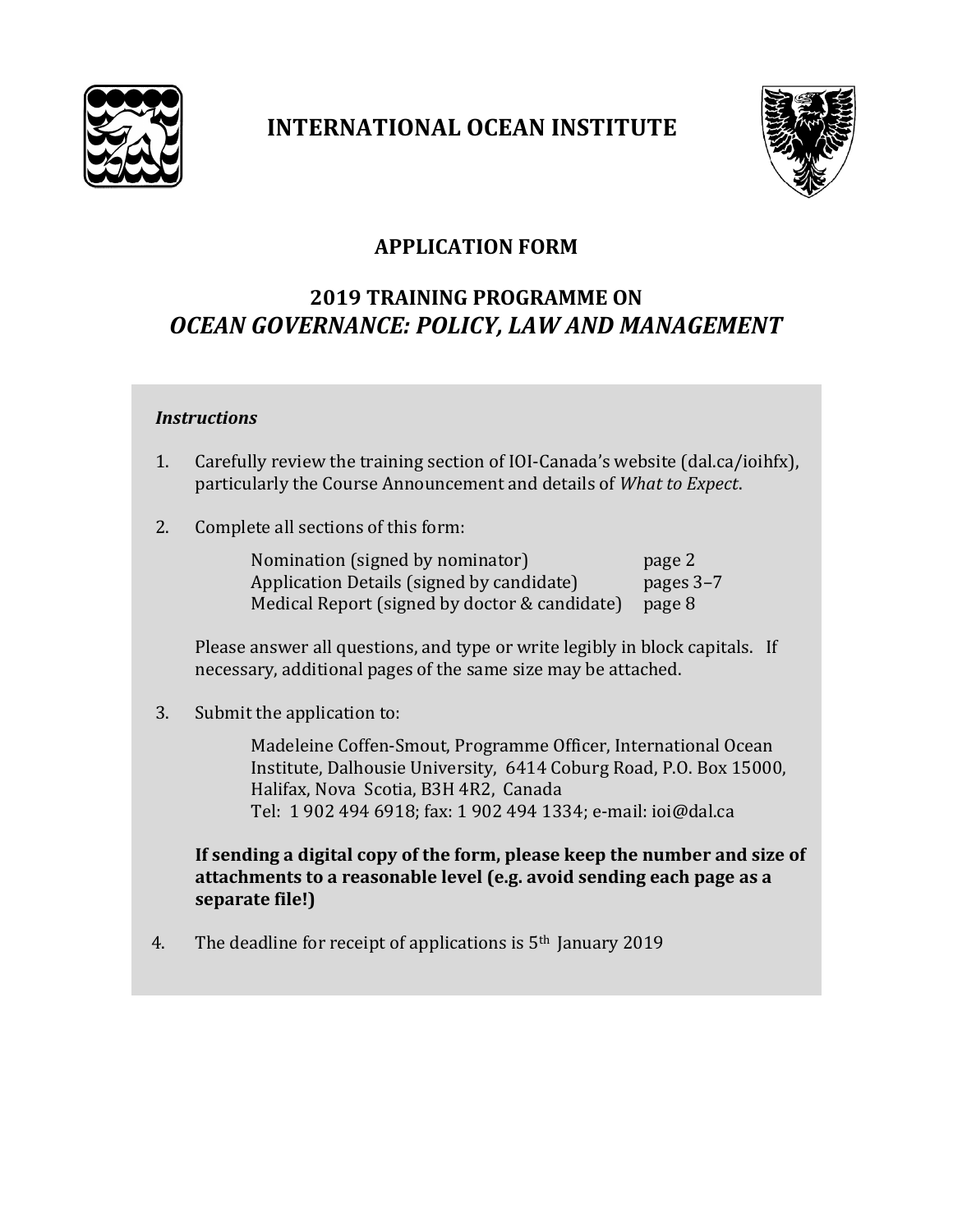

## **INTERNATIONAL OCEAN INSTITUTE**



## **APPLICATION FORM**

## **2019 TRAINING PROGRAMME ON** *OCEAN GOVERNANCE: POLICY, LAW AND MANAGEMENT*

#### *Instructions*

- 1. Carefully review the training section of IOI-Canada's website (dal.ca/ioihfx), particularly the Course Announcement and details of *What to Expect*.
- 2. Complete all sections of this form:

Nomination (signed by nominator) page 2 Application Details (signed by candidate) pages 3-7 Medical Report (signed by doctor & candidate) page 8

Please answer all questions, and type or write legibly in block capitals. If necessary, additional pages of the same size may be attached.

3. Submit the application to:

Madeleine Coffen-Smout, Programme Officer, International Ocean Institute, Dalhousie University, 6414 Coburg Road, P.O. Box 15000, Halifax, Nova Scotia, B3H 4R2, Canada Tel: 1 902 494 6918; fax: 1 902 494 1334; e-mail: ioi@dal.ca

**If sending a digital copy of the form, please keep the number and size of attachments to a reasonable level (e.g. avoid sending each page as a separate file!)**

4. The deadline for receipt of applications is 5th January 2019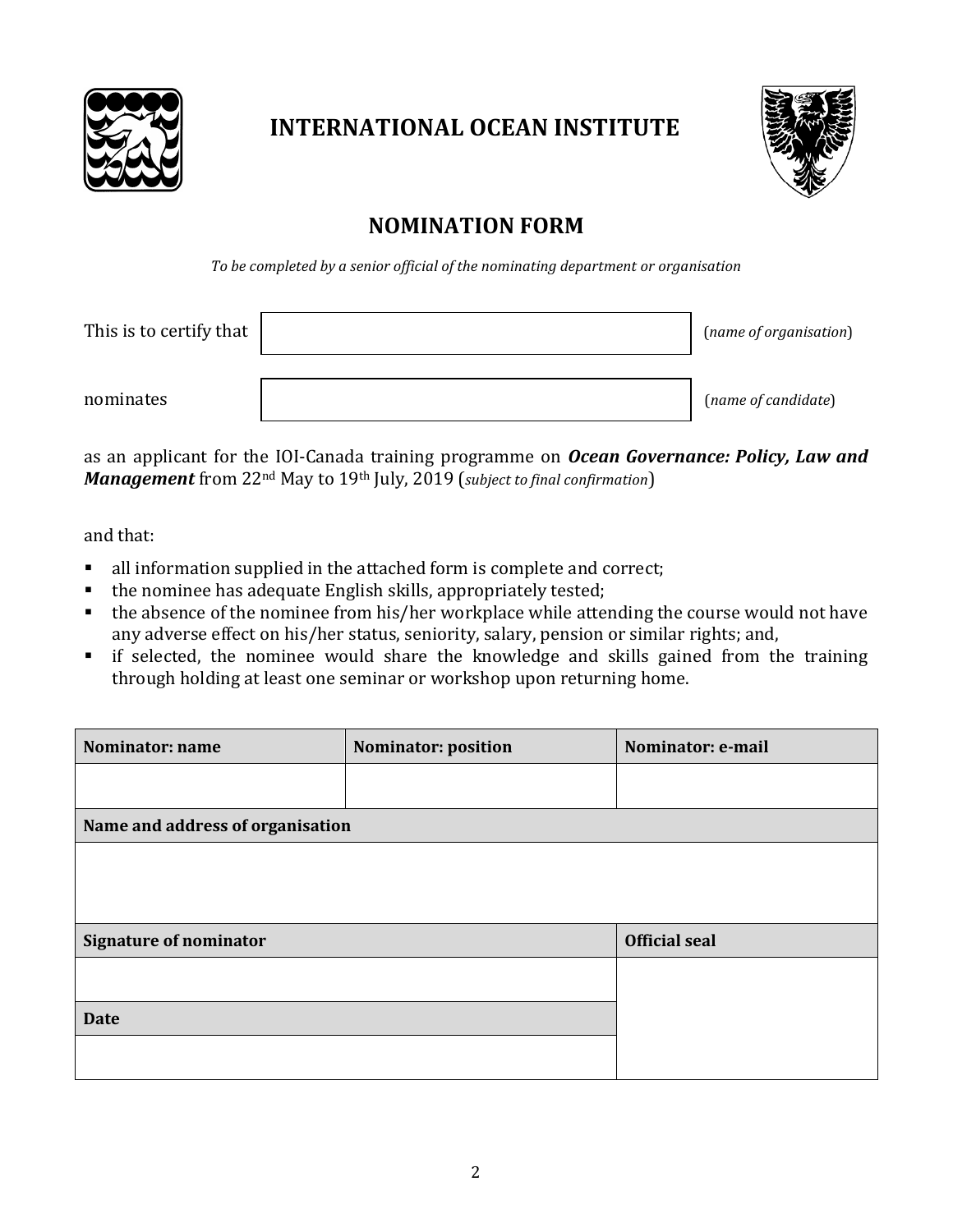

# **INTERNATIONAL OCEAN INSTITUTE**



## **NOMINATION FORM**

*To be completed by a senior official of the nominating department or organisation*

| This is to certify that | (name of organisation) |
|-------------------------|------------------------|
| nominates               | (name of candidate)    |

as an applicant for the IOI-Canada training programme on *Ocean Governance: Policy, Law and Management* from 22nd May to 19th July, 2019 (*subject to final confirmation*)

and that:

- all information supplied in the attached form is complete and correct;
- the nominee has adequate English skills, appropriately tested;
- $\bullet$  the absence of the nominee from his/her workplace while attending the course would not have any adverse effect on his/her status, seniority, salary, pension or similar rights; and,
- **•** if selected, the nominee would share the knowledge and skills gained from the training through holding at least one seminar or workshop upon returning home.

| Name and address of organisation |  |  |  |
|----------------------------------|--|--|--|
|                                  |  |  |  |
|                                  |  |  |  |
| <b>Signature of nominator</b>    |  |  |  |
|                                  |  |  |  |
|                                  |  |  |  |
|                                  |  |  |  |
|                                  |  |  |  |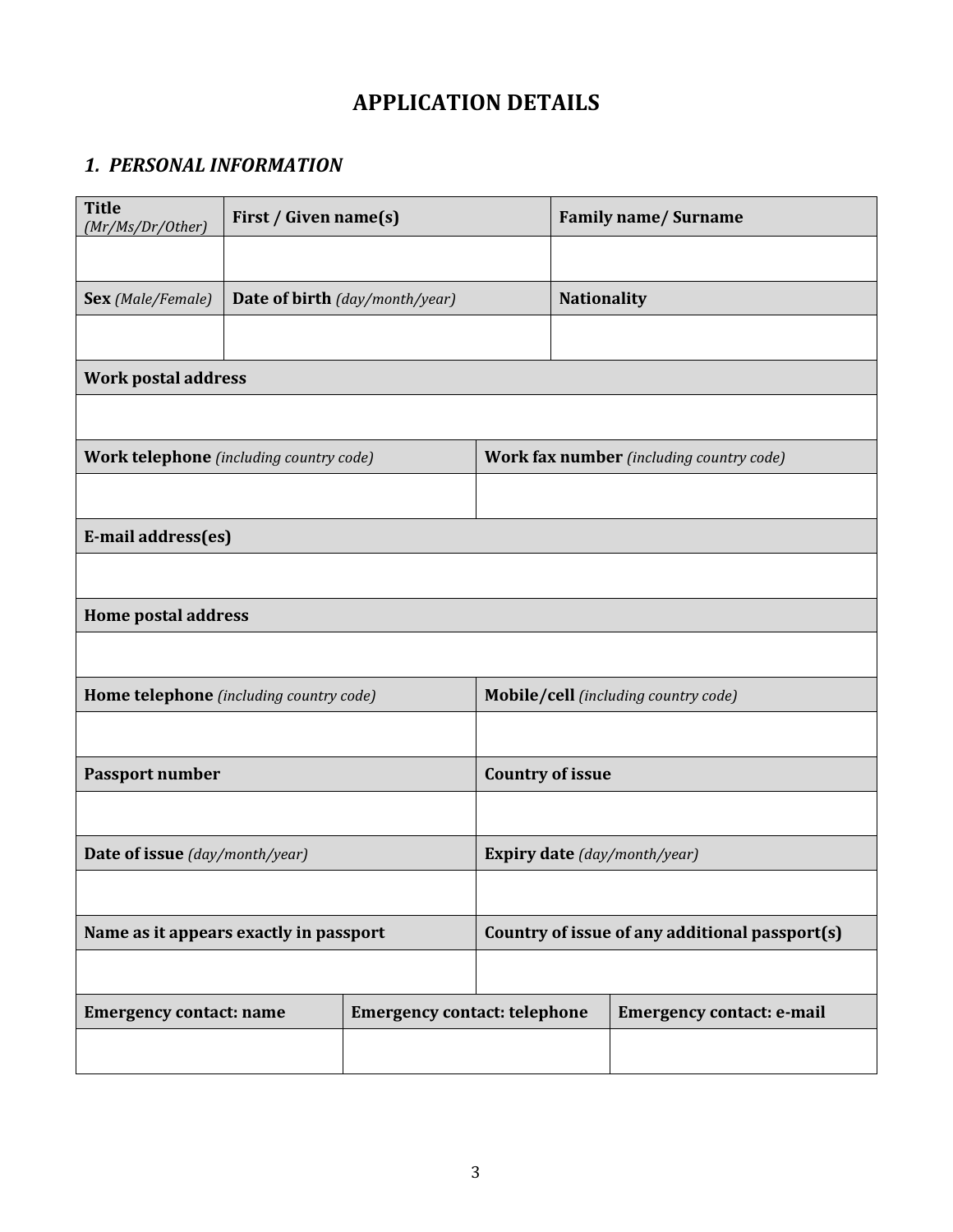## **APPLICATION DETAILS**

### *1. PERSONAL INFORMATION*

| <b>Title</b><br>(Mr/Ms/Dr/Other)               | First / Given name(s)               |                                                 |                                      |                                  | <b>Family name/Surname</b> |  |
|------------------------------------------------|-------------------------------------|-------------------------------------------------|--------------------------------------|----------------------------------|----------------------------|--|
|                                                |                                     |                                                 |                                      |                                  |                            |  |
| Sex (Male/Female)                              |                                     | Date of birth (day/month/year)                  |                                      |                                  | <b>Nationality</b>         |  |
|                                                |                                     |                                                 |                                      |                                  |                            |  |
| <b>Work postal address</b>                     |                                     |                                                 |                                      |                                  |                            |  |
|                                                |                                     |                                                 |                                      |                                  |                            |  |
| <b>Work telephone</b> (including country code) |                                     | <b>Work fax number</b> (including country code) |                                      |                                  |                            |  |
|                                                |                                     |                                                 |                                      |                                  |                            |  |
| E-mail address(es)                             |                                     |                                                 |                                      |                                  |                            |  |
|                                                |                                     |                                                 |                                      |                                  |                            |  |
| <b>Home postal address</b>                     |                                     |                                                 |                                      |                                  |                            |  |
|                                                |                                     |                                                 |                                      |                                  |                            |  |
| Home telephone (including country code)        |                                     |                                                 | Mobile/cell (including country code) |                                  |                            |  |
|                                                |                                     |                                                 |                                      |                                  |                            |  |
| <b>Passport number</b>                         |                                     | <b>Country of issue</b>                         |                                      |                                  |                            |  |
|                                                |                                     |                                                 |                                      |                                  |                            |  |
| Date of issue (day/month/year)                 |                                     | <b>Expiry date</b> (day/month/year)             |                                      |                                  |                            |  |
|                                                |                                     |                                                 |                                      |                                  |                            |  |
| Name as it appears exactly in passport         |                                     | Country of issue of any additional passport(s)  |                                      |                                  |                            |  |
|                                                |                                     |                                                 |                                      |                                  |                            |  |
| <b>Emergency contact: name</b>                 | <b>Emergency contact: telephone</b> |                                                 |                                      | <b>Emergency contact: e-mail</b> |                            |  |
|                                                |                                     |                                                 |                                      |                                  |                            |  |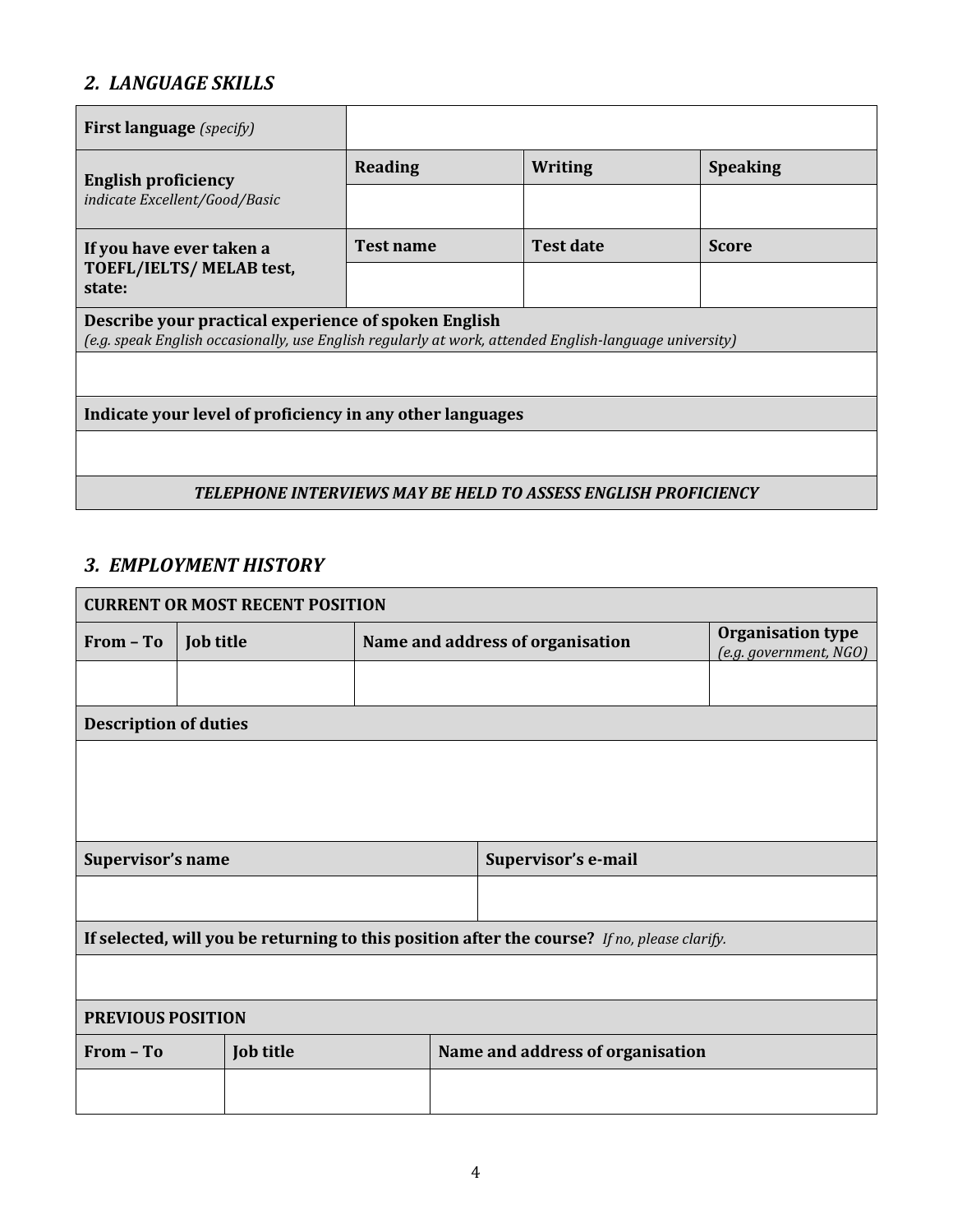### *2. LANGUAGE SKILLS*

| <b>First language</b> (specify)                                                                                                                                |                  |                  |                 |
|----------------------------------------------------------------------------------------------------------------------------------------------------------------|------------------|------------------|-----------------|
| <b>English proficiency</b>                                                                                                                                     | Reading          | <b>Writing</b>   | <b>Speaking</b> |
| indicate Excellent/Good/Basic                                                                                                                                  |                  |                  |                 |
| If you have ever taken a                                                                                                                                       | <b>Test name</b> | <b>Test date</b> | <b>Score</b>    |
| TOEFL/IELTS/MELAB test,<br>state:                                                                                                                              |                  |                  |                 |
| Describe your practical experience of spoken English<br>(e.g. speak English occasionally, use English regularly at work, attended English-language university) |                  |                  |                 |
|                                                                                                                                                                |                  |                  |                 |
| Indicate your level of proficiency in any other languages                                                                                                      |                  |                  |                 |
|                                                                                                                                                                |                  |                  |                 |
| TELEPHONE INTERVIEWS MAY BE HELD TO ASSESS ENGLISH PROFICIENCY                                                                                                 |                  |                  |                 |

#### *3. EMPLOYMENT HISTORY*

| <b>CURRENT OR MOST RECENT POSITION</b>                                                       |                  |                                  |                                  |                                                    |
|----------------------------------------------------------------------------------------------|------------------|----------------------------------|----------------------------------|----------------------------------------------------|
| From - To                                                                                    | <b>Job title</b> | Name and address of organisation |                                  | <b>Organisation type</b><br>(e.g. government, NGO) |
|                                                                                              |                  |                                  |                                  |                                                    |
| <b>Description of duties</b>                                                                 |                  |                                  |                                  |                                                    |
|                                                                                              |                  |                                  |                                  |                                                    |
|                                                                                              |                  |                                  |                                  |                                                    |
|                                                                                              |                  |                                  |                                  |                                                    |
| Supervisor's name<br>Supervisor's e-mail                                                     |                  |                                  |                                  |                                                    |
|                                                                                              |                  |                                  |                                  |                                                    |
| If selected, will you be returning to this position after the course? If no, please clarify. |                  |                                  |                                  |                                                    |
|                                                                                              |                  |                                  |                                  |                                                    |
| PREVIOUS POSITION                                                                            |                  |                                  |                                  |                                                    |
| From - To                                                                                    | <b>Job title</b> |                                  | Name and address of organisation |                                                    |
|                                                                                              |                  |                                  |                                  |                                                    |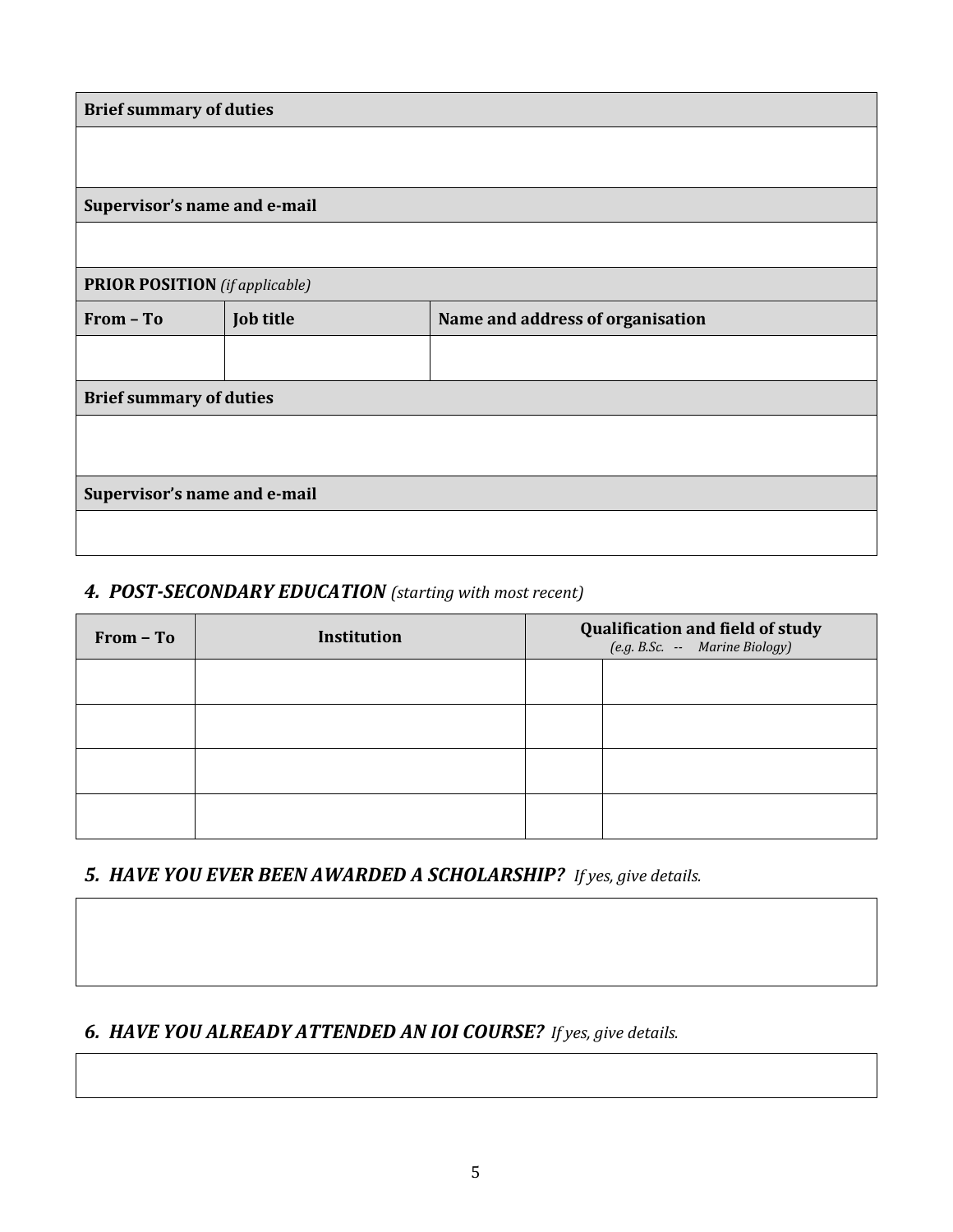| <b>Brief summary of duties</b>        |           |                                  |  |
|---------------------------------------|-----------|----------------------------------|--|
|                                       |           |                                  |  |
|                                       |           |                                  |  |
| Supervisor's name and e-mail          |           |                                  |  |
|                                       |           |                                  |  |
| <b>PRIOR POSITION</b> (if applicable) |           |                                  |  |
| From - To                             | Job title | Name and address of organisation |  |
|                                       |           |                                  |  |
| <b>Brief summary of duties</b>        |           |                                  |  |
|                                       |           |                                  |  |
|                                       |           |                                  |  |
| Supervisor's name and e-mail          |           |                                  |  |
|                                       |           |                                  |  |
|                                       |           |                                  |  |

#### *4. POST-SECONDARY EDUCATION (starting with most recent)*

| From - To | Institution | <b>Qualification and field of study</b><br>(e.g. B.Sc. -- Marine Biology) |  |
|-----------|-------------|---------------------------------------------------------------------------|--|
|           |             |                                                                           |  |
|           |             |                                                                           |  |
|           |             |                                                                           |  |
|           |             |                                                                           |  |

## *5. HAVE YOU EVER BEEN AWARDED A SCHOLARSHIP? If yes, give details.*

## *6. HAVE YOU ALREADY ATTENDED AN IOI COURSE? If yes, give details.*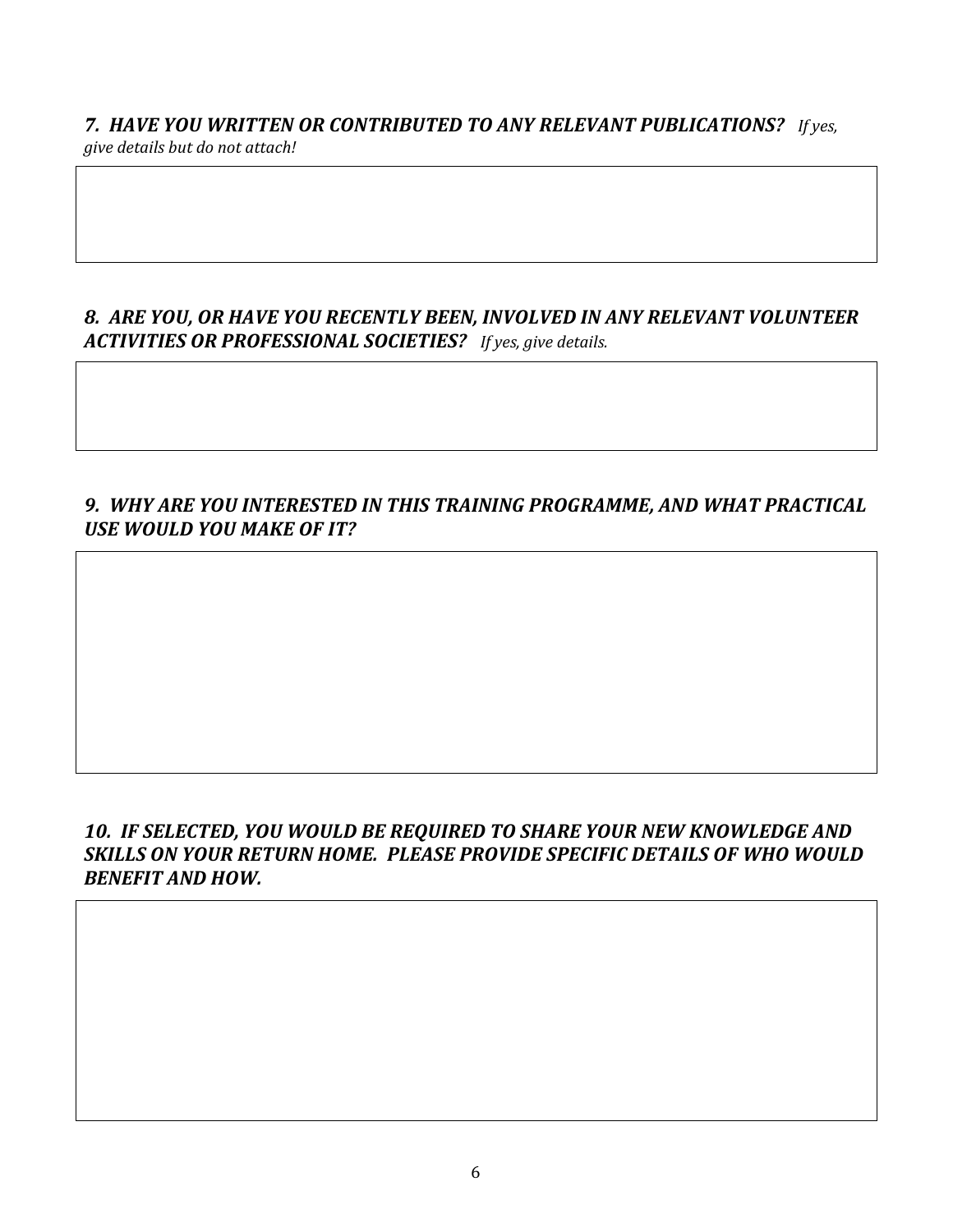*7. HAVE YOU WRITTEN OR CONTRIBUTED TO ANY RELEVANT PUBLICATIONS? If yes, give details but do not attach!*

### *8. ARE YOU, OR HAVE YOU RECENTLY BEEN, INVOLVED IN ANY RELEVANT VOLUNTEER ACTIVITIES OR PROFESSIONAL SOCIETIES? If yes, give details.*

### *9. WHY ARE YOU INTERESTED IN THIS TRAINING PROGRAMME, AND WHAT PRACTICAL USE WOULD YOU MAKE OF IT?*

#### *10. IF SELECTED, YOU WOULD BE REQUIRED TO SHARE YOUR NEW KNOWLEDGE AND SKILLS ON YOUR RETURN HOME. PLEASE PROVIDE SPECIFIC DETAILS OF WHO WOULD BENEFIT AND HOW.*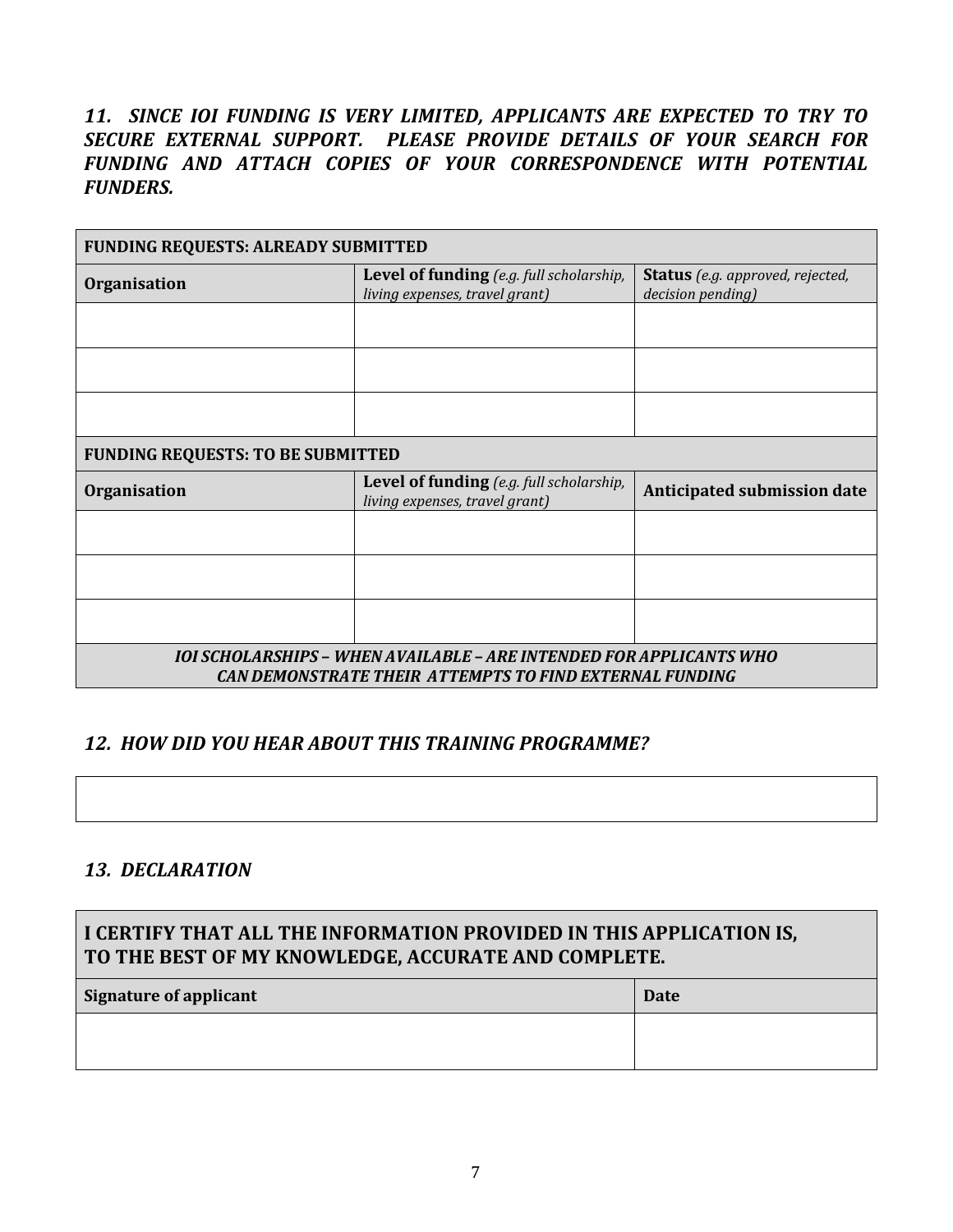*11. SINCE IOI FUNDING IS VERY LIMITED, APPLICANTS ARE EXPECTED TO TRY TO SECURE EXTERNAL SUPPORT. PLEASE PROVIDE DETAILS OF YOUR SEARCH FOR FUNDING AND ATTACH COPIES OF YOUR CORRESPONDENCE WITH POTENTIAL FUNDERS.* 

| <b>FUNDING REQUESTS: ALREADY SUBMITTED</b>                                                                                            |                                                                                   |                                                              |  |
|---------------------------------------------------------------------------------------------------------------------------------------|-----------------------------------------------------------------------------------|--------------------------------------------------------------|--|
| <b>Organisation</b>                                                                                                                   | <b>Level of funding</b> (e.g. full scholarship,<br>living expenses, travel grant) | <b>Status</b> (e.g. approved, rejected,<br>decision pending) |  |
|                                                                                                                                       |                                                                                   |                                                              |  |
|                                                                                                                                       |                                                                                   |                                                              |  |
|                                                                                                                                       |                                                                                   |                                                              |  |
| <b>FUNDING REQUESTS: TO BE SUBMITTED</b>                                                                                              |                                                                                   |                                                              |  |
| <b>Organisation</b>                                                                                                                   | <b>Level of funding</b> (e.g. full scholarship,<br>living expenses, travel grant) | Anticipated submission date                                  |  |
|                                                                                                                                       |                                                                                   |                                                              |  |
|                                                                                                                                       |                                                                                   |                                                              |  |
|                                                                                                                                       |                                                                                   |                                                              |  |
| IOI SCHOLARSHIPS – WHEN AVAILABLE – ARE INTENDED FOR APPLICANTS WHO<br><b>CAN DEMONSTRATE THEIR ATTEMPTS TO FIND EXTERNAL FUNDING</b> |                                                                                   |                                                              |  |

#### *12. HOW DID YOU HEAR ABOUT THIS TRAINING PROGRAMME?*

#### *13. DECLARATION*

| I CERTIFY THAT ALL THE INFORMATION PROVIDED IN THIS APPLICATION IS,<br>TO THE BEST OF MY KNOWLEDGE, ACCURATE AND COMPLETE. |  |  |
|----------------------------------------------------------------------------------------------------------------------------|--|--|
| <b>Signature of applicant</b><br>Date                                                                                      |  |  |
|                                                                                                                            |  |  |
|                                                                                                                            |  |  |